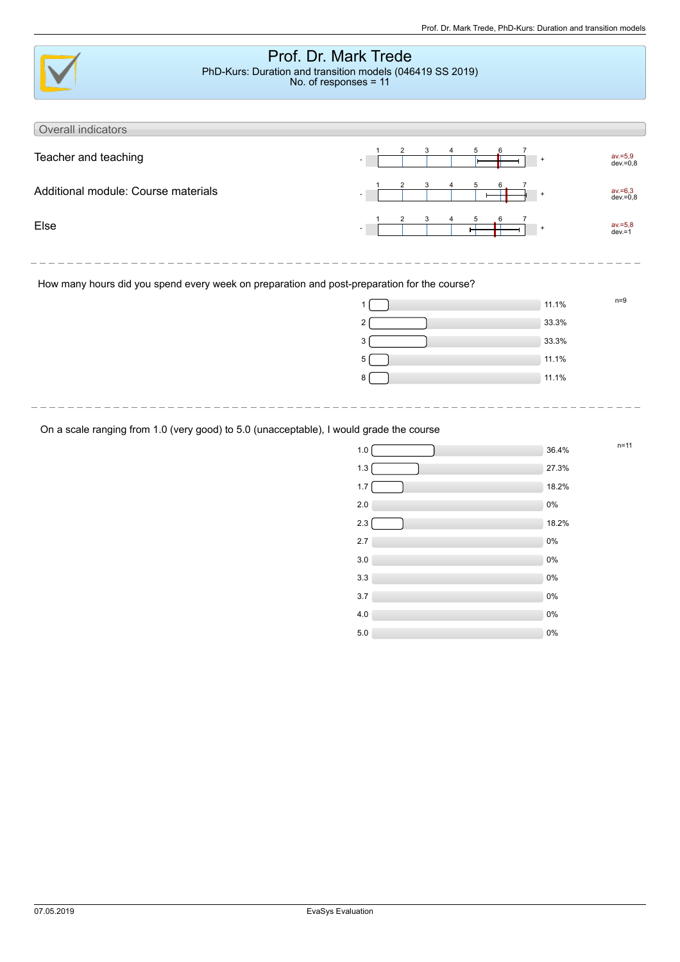| Prof. Dr. Mark Trede<br>PhD-Kurs: Duration and transition models (046419 SS 2019)<br>No. of responses = 11 |                          |                           |  |  |  |
|------------------------------------------------------------------------------------------------------------|--------------------------|---------------------------|--|--|--|
| Overall indicators                                                                                         |                          |                           |  |  |  |
| Teacher and teaching                                                                                       | 2<br>3<br>5<br>$\ddot{}$ | av.=5,9<br>dev.=0,8       |  |  |  |
| Additional module: Course materials                                                                        | 2<br>3<br>5<br>$+$       | $av = 6,3$<br>$dev = 0.8$ |  |  |  |
| Else                                                                                                       | 3<br>2<br>5<br>$+$       | $av = 5,8$<br>$dev = 1$   |  |  |  |
|                                                                                                            |                          |                           |  |  |  |
| How many hours did you spend every week on preparation and post-preparation for the course?                |                          |                           |  |  |  |
|                                                                                                            | 11.1%                    | $n=9$                     |  |  |  |
|                                                                                                            | 33.3%<br>$\overline{2}$  |                           |  |  |  |
|                                                                                                            | 33.3%<br>3               |                           |  |  |  |
|                                                                                                            | 11.1%<br>5               |                           |  |  |  |
|                                                                                                            | 11.1%<br>8               |                           |  |  |  |
|                                                                                                            |                          |                           |  |  |  |

## On a scale ranging from 1.0 (very good) to 5.0 (unacceptable), I would grade the course

| 1.0 | $n = 11$<br>36.4% |
|-----|-------------------|
| 1.3 | 27.3%             |
| 1.7 | 18.2%             |
| 2.0 | $0\%$             |
| 2.3 | 18.2%             |
| 2.7 | $0\%$             |
| 3.0 | $0\%$             |
| 3.3 | $0\%$             |
| 3.7 | 0%                |
| 4.0 | $0\%$             |
| 5.0 | $0\%$             |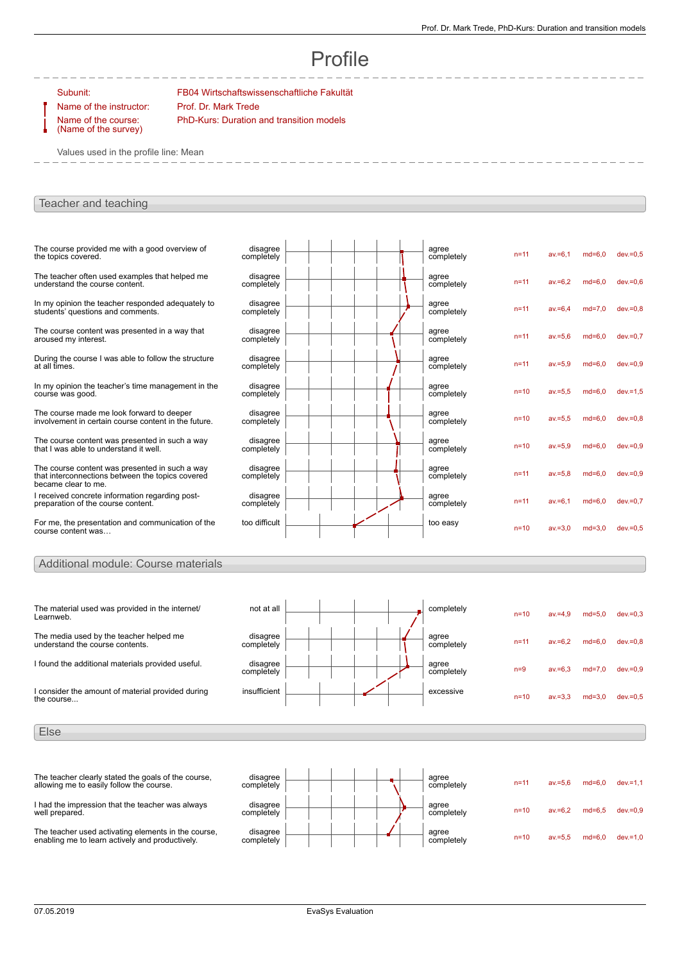# Profile

Subunit: FB04 Wirtschaftswissenschaftliche Fakultät Name of the instructor: Prof. Dr. Mark Trede

Name of the course: (Name of the survey) PhD-Kurs: Duration and transition models

Values used in the profile line: Mean

### Teacher and teaching

| The course provided me with a good overview of<br>the topics covered.                                                     | disagree<br>completely |  | agree<br>completely | $n = 11$ | $av = 6.1$ | $md = 6.0$ | $dev = 0.5$ |
|---------------------------------------------------------------------------------------------------------------------------|------------------------|--|---------------------|----------|------------|------------|-------------|
| The teacher often used examples that helped me<br>understand the course content.                                          | disagree<br>completely |  | agree<br>completely | $n=11$   | $av = 6.2$ | $md=6.0$   | $dev = 0.6$ |
| In my opinion the teacher responded adequately to<br>students' questions and comments.                                    | disagree<br>completely |  | agree<br>completely | $n = 11$ | $av = 6.4$ | $md=7.0$   | $dev = 0.8$ |
| The course content was presented in a way that<br>aroused my interest.                                                    | disagree<br>completely |  | agree<br>completely | $n=11$   | $av = 5.6$ | $md=6.0$   | $dev = 0.7$ |
| During the course I was able to follow the structure<br>at all fimes.                                                     | disagree<br>completely |  | agree<br>completely | $n=11$   | $av = 5.9$ | $md=6.0$   | $dev = 0.9$ |
| In my opinion the teacher's time management in the<br>course was good.                                                    | disagree<br>completely |  | agree<br>completely | $n=10$   | $av = 5.5$ | $md=6.0$   | $dev = 1.5$ |
| The course made me look forward to deeper<br>involvement in certain course content in the future.                         | disagree<br>completely |  | agree<br>completely | $n=10$   | $av = 5.5$ | $md=6.0$   | $dev = 0.8$ |
| The course content was presented in such a way<br>that I was able to understand it well.                                  | disagree<br>completely |  | agree<br>completely | $n=10$   | $av = 5.9$ | $md=6.0$   | $dev = 0.9$ |
| The course content was presented in such a way<br>that interconnections between the topics covered<br>became clear to me. | disagree<br>completely |  | agree<br>completely | $n = 11$ | $av = 5.8$ | $md=6.0$   | $dev = 0.9$ |
| I received concrete information regarding post-<br>preparation of the course content.                                     | disagree<br>completely |  | agree<br>completely | $n = 11$ | $av = 6.1$ | $md=6.0$   | $dev = 0.7$ |
| For me, the presentation and communication of the<br>course content was                                                   | too difficult          |  | too easy            | $n=10$   | $av = 3.0$ | $md=3.0$   | $dev = 0.5$ |

### Additional module: Course materials

| The material used was provided in the internet/<br>Learnweb.               | not at all             |  | completely          | $n=10$   | $av = 4.9$ | $md=5.0$ | $dev = 0.3$ |
|----------------------------------------------------------------------------|------------------------|--|---------------------|----------|------------|----------|-------------|
| The media used by the teacher helped me<br>understand the course contents. | disagree<br>completely |  | agree<br>completely | $n = 11$ | $av = 6.2$ | $md=6.0$ | $dev = 0.8$ |
| I found the additional materials provided useful.                          | disagree<br>completely |  | agree<br>completely | $n=9$    | $av = 6.3$ | $md=7.0$ | $dev = 0.9$ |
| consider the amount of material provided during<br>the course              | insufficient           |  | excessive           | $n=10$   | $av = 3.3$ | $md=3.0$ | $dev = 0.5$ |
|                                                                            |                        |  |                     |          |            |          |             |

Else



I had the impression that the teacher was always well prepared.

The teacher used activating elements in the course, enabling me to learn actively and productively.